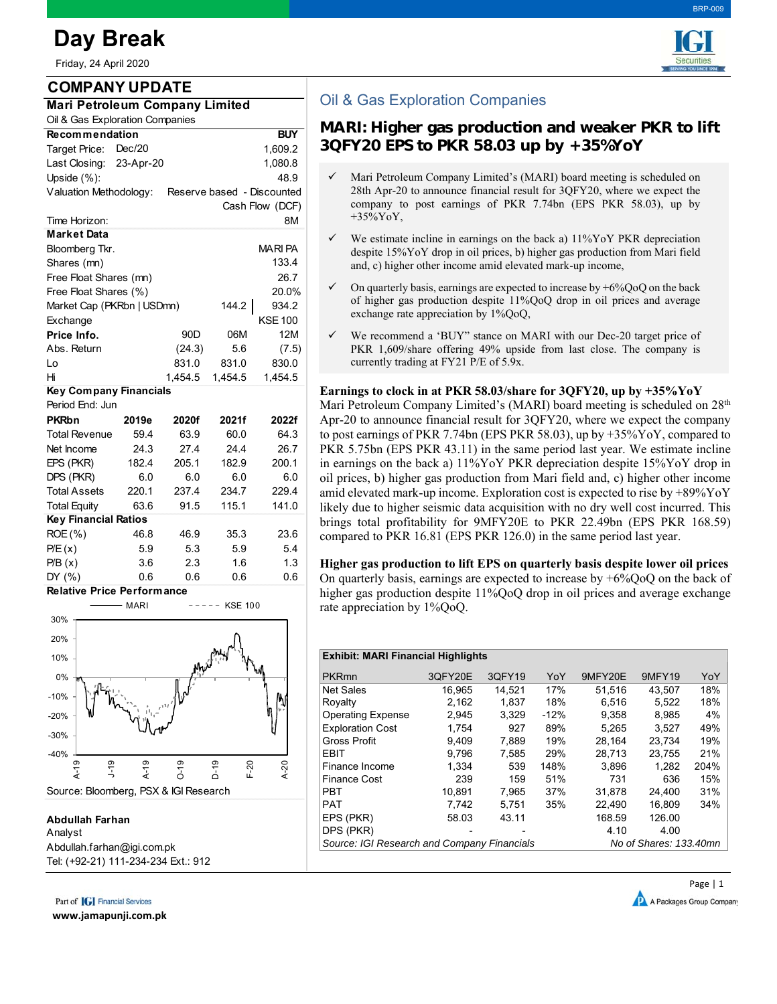# **Day Break**

Friday, 24 April 2020

## **COMPANY UPDATE**

| <b>Mari Petroleum Company Limited</b> |  |
|---------------------------------------|--|
| Oil & Gas Exploration Companies       |  |

| si a cas Exploration compani                         |                                    |         |         |                 |  |  |  |  |
|------------------------------------------------------|------------------------------------|---------|---------|-----------------|--|--|--|--|
| <b>Recommendation</b>                                |                                    |         |         | <b>BUY</b>      |  |  |  |  |
| Target Price:                                        | Dec/20                             | 1,609.2 |         |                 |  |  |  |  |
|                                                      | Last Closing: 23-Apr-20<br>1,080.8 |         |         |                 |  |  |  |  |
| Upside $(\%)$ :                                      |                                    |         |         | 48.9            |  |  |  |  |
| Valuation Methodology:<br>Reserve based - Discounted |                                    |         |         |                 |  |  |  |  |
|                                                      |                                    |         |         | Cash Flow (DCF) |  |  |  |  |
| Time Horizon:                                        |                                    |         |         | 8M              |  |  |  |  |
| <b>Market Data</b>                                   |                                    |         |         |                 |  |  |  |  |
| MARI PA<br>Bloomberg Tkr.                            |                                    |         |         |                 |  |  |  |  |
| 133.4<br>Shares (mn)                                 |                                    |         |         |                 |  |  |  |  |
| Free Float Shares (mn)<br>26.7                       |                                    |         |         |                 |  |  |  |  |
| Free Float Shares (%)<br>20.0%                       |                                    |         |         |                 |  |  |  |  |
| Market Cap (PKRbn   USDmn)                           |                                    |         | 144.2   | 934.2           |  |  |  |  |
| Exchange                                             |                                    |         |         | <b>KSE 100</b>  |  |  |  |  |
| Price Info.                                          |                                    | 90D     | 06M     | 12M             |  |  |  |  |
| Abs. Return                                          |                                    | (24.3)  | 5.6     | (7.5)           |  |  |  |  |
| Lo                                                   |                                    | 831.0   | 831.0   | 830.0           |  |  |  |  |
| Hi                                                   |                                    | 1,454.5 | 1,454.5 | 1,454.5         |  |  |  |  |
| Key Company Financials                               |                                    |         |         |                 |  |  |  |  |
| Period End: Jun                                      |                                    |         |         |                 |  |  |  |  |
| <b>PKRbn</b>                                         | 2019e                              | 2020f   | 2021f   | 2022f           |  |  |  |  |
| <b>Total Revenue</b>                                 | 59.4                               | 63.9    | 60.0    | 64.3            |  |  |  |  |
| Net Income                                           | 24.3                               | 27.4    | 24.4    | 26.7            |  |  |  |  |
| EPS (PKR)                                            | 182.4                              | 205.1   | 182.9   | 200.1           |  |  |  |  |
| DPS (PKR)                                            | 6.0                                | 6.0     | 6.0     | 6.0             |  |  |  |  |
| <b>Total Assets</b>                                  | 220.1                              | 237.4   | 234.7   | 229.4           |  |  |  |  |
| <b>Total Equity</b>                                  | 63.6                               | 91.5    | 115.1   | 141.0           |  |  |  |  |
| <b>Key Financial Ratios</b>                          |                                    |         |         |                 |  |  |  |  |
| ROE (%)                                              | 46.8                               | 46.9    | 35.3    | 23.6            |  |  |  |  |
| P/E(x)                                               | 5.9                                | 5.3     | 5.9     | 5.4             |  |  |  |  |
| P/B(x)                                               | 3.6                                | 2.3     | 1.6     | 1.3             |  |  |  |  |
| DY (%)                                               | 0.6                                | 0.6     | 0.6     | 0.6             |  |  |  |  |

**Relative Price Performance**



### **Abdullah Farhan**

Analyst Abdullah.farhan@igi.com.pk Tel: (+92-21) 111-234-234 Ext.: 912

Part of **[G]** Financial Services

**www.jamapunji.com.pk**



BRP-009

# Oil & Gas Exploration Companies

# **MARI: Higher gas production and weaker PKR to lift 3QFY20 EPS to PKR 58.03 up by +35%YoY**

- Mari Petroleum Company Limited's (MARI) board meeting is scheduled on 28th Apr-20 to announce financial result for 3QFY20, where we expect the company to post earnings of PKR 7.74bn (EPS PKR 58.03), up by +35%YoY,
- We estimate incline in earnings on the back a) 11%YoY PKR depreciation despite 15%YoY drop in oil prices, b) higher gas production from Mari field and, c) higher other income amid elevated mark-up income,
- On quarterly basis, earnings are expected to increase by  $+6\%$ QoQ on the back of higher gas production despite 11%QoQ drop in oil prices and average exchange rate appreciation by 1%QoQ,
- We recommend a 'BUY" stance on MARI with our Dec-20 target price of PKR 1,609/share offering 49% upside from last close. The company is currently trading at FY21 P/E of 5.9x.

#### **Earnings to clock in at PKR 58.03/share for 3QFY20, up by +35%YoY**

Mari Petroleum Company Limited's (MARI) board meeting is scheduled on 28<sup>th</sup> Apr-20 to announce financial result for 3QFY20, where we expect the company to post earnings of PKR 7.74bn (EPS PKR 58.03), up by +35%YoY, compared to PKR 5.75bn (EPS PKR 43.11) in the same period last year. We estimate incline in earnings on the back a) 11%YoY PKR depreciation despite 15%YoY drop in oil prices, b) higher gas production from Mari field and, c) higher other income amid elevated mark-up income. Exploration cost is expected to rise by +89%YoY likely due to higher seismic data acquisition with no dry well cost incurred. This brings total profitability for 9MFY20E to PKR 22.49bn (EPS PKR 168.59) compared to PKR 16.81 (EPS PKR 126.0) in the same period last year.

**Higher gas production to lift EPS on quarterly basis despite lower oil prices**  On quarterly basis, earnings are expected to increase by +6%QoQ on the back of higher gas production despite 11%QoQ drop in oil prices and average exchange rate appreciation by 1%QoQ.

#### **Exhibit: MARI Financial Highlights**

| <b>PKRmn</b>                                | 3QFY20E | 3QFY19 | YoY    | 9MFY20E | <b>9MFY19</b>          | YoY  |
|---------------------------------------------|---------|--------|--------|---------|------------------------|------|
| Net Sales                                   | 16.965  | 14.521 | 17%    | 51.516  | 43,507                 | 18%  |
| Royalty                                     | 2,162   | 1,837  | 18%    | 6.516   | 5,522                  | 18%  |
| <b>Operating Expense</b>                    | 2,945   | 3.329  | $-12%$ | 9.358   | 8,985                  | 4%   |
| <b>Exploration Cost</b>                     | 1.754   | 927    | 89%    | 5.265   | 3.527                  | 49%  |
| <b>Gross Profit</b>                         | 9.409   | 7.889  | 19%    | 28.164  | 23.734                 | 19%  |
| <b>EBIT</b>                                 | 9.796   | 7.585  | 29%    | 28.713  | 23.755                 | 21%  |
| Finance Income                              | 1.334   | 539    | 148%   | 3.896   | 1.282                  | 204% |
| <b>Finance Cost</b>                         | 239     | 159    | 51%    | 731     | 636                    | 15%  |
| <b>PBT</b>                                  | 10.891  | 7.965  | 37%    | 31.878  | 24.400                 | 31%  |
| <b>PAT</b>                                  | 7.742   | 5.751  | 35%    | 22.490  | 16.809                 | 34%  |
| EPS (PKR)                                   | 58.03   | 43.11  |        | 168.59  | 126.00                 |      |
| DPS (PKR)                                   |         |        |        | 4.10    | 4.00                   |      |
| Source: IGI Research and Company Financials |         |        |        |         | No of Shares: 133.40mn |      |
|                                             |         |        |        |         |                        |      |